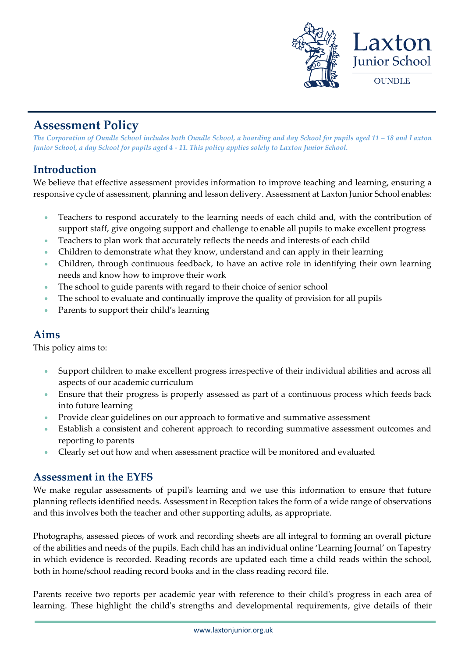

# **Assessment Policy**

*The Corporation of Oundle School includes both Oundle School, a boarding and day School for pupils aged 11 – 18 and Laxton Junior School, a day School for pupils aged 4 - 11. This policy applies solely to Laxton Junior School.*

## **Introduction**

We believe that effective assessment provides information to improve teaching and learning, ensuring a responsive cycle of assessment, planning and lesson delivery. Assessment at Laxton Junior School enables:

- Teachers to respond accurately to the learning needs of each child and, with the contribution of support staff, give ongoing support and challenge to enable all pupils to make excellent progress
- Teachers to plan work that accurately reflects the needs and interests of each child
- Children to demonstrate what they know, understand and can apply in their learning
- Children, through continuous feedback, to have an active role in identifying their own learning needs and know how to improve their work
- The school to guide parents with regard to their choice of senior school
- The school to evaluate and continually improve the quality of provision for all pupils
- Parents to support their child's learning

### **Aims**

This policy aims to:

- Support children to make excellent progress irrespective of their individual abilities and across all aspects of our academic curriculum
- Ensure that their progress is properly assessed as part of a continuous process which feeds back into future learning
- Provide clear guidelines on our approach to formative and summative assessment
- Establish a consistent and coherent approach to recording summative assessment outcomes and reporting to parents
- Clearly set out how and when assessment practice will be monitored and evaluated

### **Assessment in the EYFS**

We make regular assessments of pupil's learning and we use this information to ensure that future planning reflects identified needs. Assessment in Reception takes the form of a wide range of observations and this involves both the teacher and other supporting adults, as appropriate.

Photographs, assessed pieces of work and recording sheets are all integral to forming an overall picture of the abilities and needs of the pupils. Each child has an individual online 'Learning Journal' on Tapestry in which evidence is recorded. Reading records are updated each time a child reads within the school, both in home/school reading record books and in the class reading record file.

Parents receive two reports per academic year with reference to their child's progress in each area of learning. These highlight the child's strengths and developmental requirements, give details of their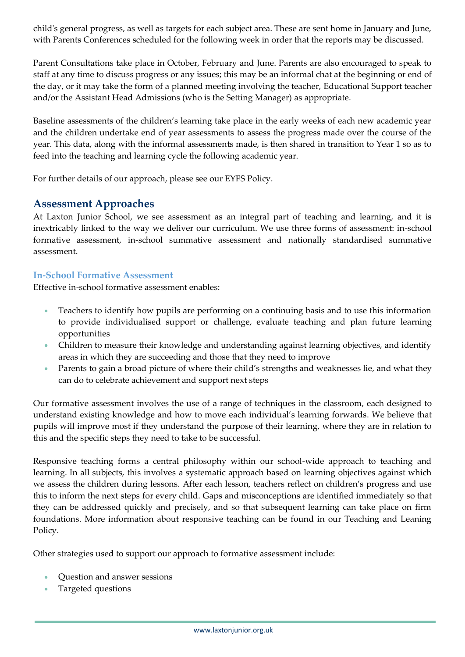child's general progress, as well as targets for each subject area. These are sent home in January and June, with Parents Conferences scheduled for the following week in order that the reports may be discussed.

Parent Consultations take place in October, February and June. Parents are also encouraged to speak to staff at any time to discuss progress or any issues; this may be an informal chat at the beginning or end of the day, or it may take the form of a planned meeting involving the teacher, Educational Support teacher and/or the Assistant Head Admissions (who is the Setting Manager) as appropriate.

Baseline assessments of the children's learning take place in the early weeks of each new academic year and the children undertake end of year assessments to assess the progress made over the course of the year. This data, along with the informal assessments made, is then shared in transition to Year 1 so as to feed into the teaching and learning cycle the following academic year.

For further details of our approach, please see our EYFS Policy.

### **Assessment Approaches**

At Laxton Junior School, we see assessment as an integral part of teaching and learning, and it is inextricably linked to the way we deliver our curriculum. We use three forms of assessment: in-school formative assessment, in-school summative assessment and nationally standardised summative assessment.

#### **In-School Formative Assessment**

Effective in-school formative assessment enables:

- Teachers to identify how pupils are performing on a continuing basis and to use this information to provide individualised support or challenge, evaluate teaching and plan future learning opportunities
- Children to measure their knowledge and understanding against learning objectives, and identify areas in which they are succeeding and those that they need to improve
- Parents to gain a broad picture of where their child's strengths and weaknesses lie, and what they can do to celebrate achievement and support next steps

Our formative assessment involves the use of a range of techniques in the classroom, each designed to understand existing knowledge and how to move each individual's learning forwards. We believe that pupils will improve most if they understand the purpose of their learning, where they are in relation to this and the specific steps they need to take to be successful.

Responsive teaching forms a central philosophy within our school-wide approach to teaching and learning. In all subjects, this involves a systematic approach based on learning objectives against which we assess the children during lessons. After each lesson, teachers reflect on children's progress and use this to inform the next steps for every child. Gaps and misconceptions are identified immediately so that they can be addressed quickly and precisely, and so that subsequent learning can take place on firm foundations. More information about responsive teaching can be found in our Teaching and Leaning Policy.

Other strategies used to support our approach to formative assessment include:

- Question and answer sessions
- Targeted questions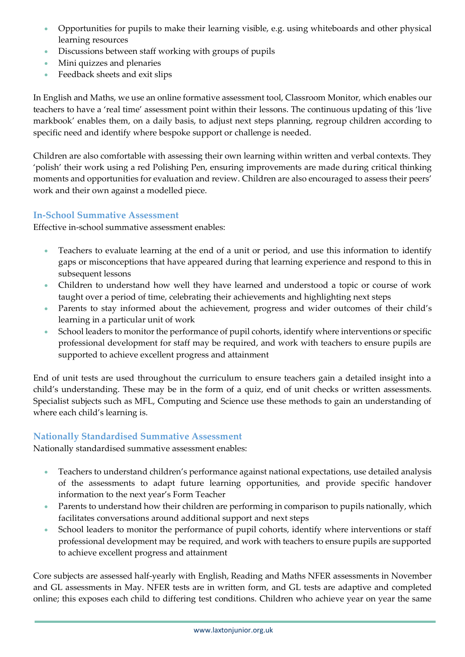- Opportunities for pupils to make their learning visible, e.g. using whiteboards and other physical learning resources
- Discussions between staff working with groups of pupils
- Mini quizzes and plenaries
- Feedback sheets and exit slips

In English and Maths, we use an online formative assessment tool, Classroom Monitor, which enables our teachers to have a 'real time' assessment point within their lessons. The continuous updating of this 'live markbook' enables them, on a daily basis, to adjust next steps planning, regroup children according to specific need and identify where bespoke support or challenge is needed.

Children are also comfortable with assessing their own learning within written and verbal contexts. They 'polish' their work using a red Polishing Pen, ensuring improvements are made during critical thinking moments and opportunities for evaluation and review. Children are also encouraged to assess their peers' work and their own against a modelled piece.

#### **In-School Summative Assessment**

Effective in-school summative assessment enables:

- Teachers to evaluate learning at the end of a unit or period, and use this information to identify gaps or misconceptions that have appeared during that learning experience and respond to this in subsequent lessons
- Children to understand how well they have learned and understood a topic or course of work taught over a period of time, celebrating their achievements and highlighting next steps
- Parents to stay informed about the achievement, progress and wider outcomes of their child's learning in a particular unit of work
- School leaders to monitor the performance of pupil cohorts, identify where interventions or specific professional development for staff may be required, and work with teachers to ensure pupils are supported to achieve excellent progress and attainment

End of unit tests are used throughout the curriculum to ensure teachers gain a detailed insight into a child's understanding. These may be in the form of a quiz, end of unit checks or written assessments. Specialist subjects such as MFL, Computing and Science use these methods to gain an understanding of where each child's learning is.

#### **Nationally Standardised Summative Assessment**

Nationally standardised summative assessment enables:

- Teachers to understand children's performance against national expectations, use detailed analysis of the assessments to adapt future learning opportunities, and provide specific handover information to the next year's Form Teacher
- Parents to understand how their children are performing in comparison to pupils nationally, which facilitates conversations around additional support and next steps
- School leaders to monitor the performance of pupil cohorts, identify where interventions or staff professional development may be required, and work with teachers to ensure pupils are supported to achieve excellent progress and attainment

Core subjects are assessed half-yearly with English, Reading and Maths NFER assessments in November and GL assessments in May. NFER tests are in written form, and GL tests are adaptive and completed online; this exposes each child to differing test conditions. Children who achieve year on year the same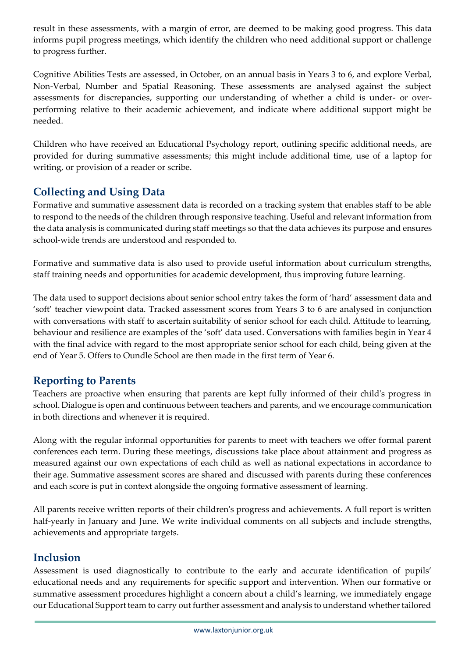result in these assessments, with a margin of error, are deemed to be making good progress. This data informs pupil progress meetings, which identify the children who need additional support or challenge to progress further.

Cognitive Abilities Tests are assessed, in October, on an annual basis in Years 3 to 6, and explore Verbal, Non-Verbal, Number and Spatial Reasoning. These assessments are analysed against the subject assessments for discrepancies, supporting our understanding of whether a child is under- or overperforming relative to their academic achievement, and indicate where additional support might be needed.

Children who have received an Educational Psychology report, outlining specific additional needs, are provided for during summative assessments; this might include additional time, use of a laptop for writing, or provision of a reader or scribe.

## **Collecting and Using Data**

Formative and summative assessment data is recorded on a tracking system that enables staff to be able to respond to the needs of the children through responsive teaching. Useful and relevant information from the data analysis is communicated during staff meetings so that the data achieves its purpose and ensures school-wide trends are understood and responded to.

Formative and summative data is also used to provide useful information about curriculum strengths, staff training needs and opportunities for academic development, thus improving future learning.

The data used to support decisions about senior school entry takes the form of 'hard' assessment data and 'soft' teacher viewpoint data. Tracked assessment scores from Years 3 to 6 are analysed in conjunction with conversations with staff to ascertain suitability of senior school for each child. Attitude to learning, behaviour and resilience are examples of the 'soft' data used. Conversations with families begin in Year 4 with the final advice with regard to the most appropriate senior school for each child, being given at the end of Year 5. Offers to Oundle School are then made in the first term of Year 6.

## **Reporting to Parents**

Teachers are proactive when ensuring that parents are kept fully informed of their child's progress in school. Dialogue is open and continuous between teachers and parents, and we encourage communication in both directions and whenever it is required.

Along with the regular informal opportunities for parents to meet with teachers we offer formal parent conferences each term. During these meetings, discussions take place about attainment and progress as measured against our own expectations of each child as well as national expectations in accordance to their age. Summative assessment scores are shared and discussed with parents during these conferences and each score is put in context alongside the ongoing formative assessment of learning.

All parents receive written reports of their children's progress and achievements. A full report is written half-yearly in January and June. We write individual comments on all subjects and include strengths, achievements and appropriate targets.

### **Inclusion**

Assessment is used diagnostically to contribute to the early and accurate identification of pupils' educational needs and any requirements for specific support and intervention. When our formative or summative assessment procedures highlight a concern about a child's learning, we immediately engage our Educational Support team to carry out further assessment and analysis to understand whether tailored